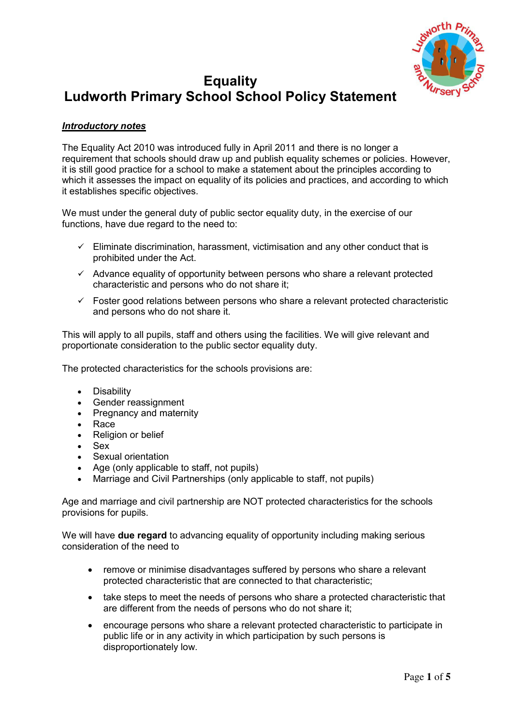

# **Equality Ludworth Primary School School Policy Statement**

# *Introductory notes*

The Equality Act 2010 was introduced fully in April 2011 and there is no longer a requirement that schools should draw up and publish equality schemes or policies. However, it is still good practice for a school to make a statement about the principles according to which it assesses the impact on equality of its policies and practices, and according to which it establishes specific objectives.

We must under the general duty of public sector equality duty, in the exercise of our functions, have due regard to the need to:

- $\checkmark$  Eliminate discrimination, harassment, victimisation and any other conduct that is prohibited under the Act.
- $\checkmark$  Advance equality of opportunity between persons who share a relevant protected characteristic and persons who do not share it;
- $\checkmark$  Foster good relations between persons who share a relevant protected characteristic and persons who do not share it.

This will apply to all pupils, staff and others using the facilities. We will give relevant and proportionate consideration to the public sector equality duty.

The protected characteristics for the schools provisions are:

- Disability
- Gender reassignment
- Pregnancy and maternity
- Race
- Religion or belief
- Sex
- Sexual orientation
- Age (only applicable to staff, not pupils)
- Marriage and Civil Partnerships (only applicable to staff, not pupils)

Age and marriage and civil partnership are NOT protected characteristics for the schools provisions for pupils.

We will have **due regard** to advancing equality of opportunity including making serious consideration of the need to

- remove or minimise disadvantages suffered by persons who share a relevant protected characteristic that are connected to that characteristic;
- take steps to meet the needs of persons who share a protected characteristic that are different from the needs of persons who do not share it;
- encourage persons who share a relevant protected characteristic to participate in public life or in any activity in which participation by such persons is disproportionately low.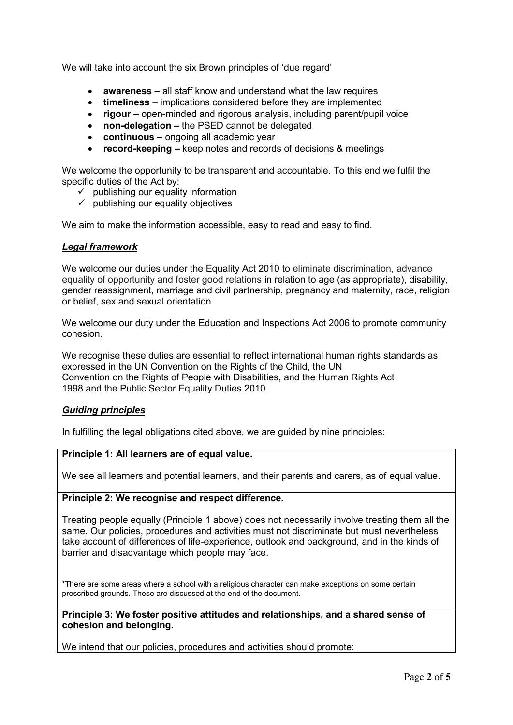We will take into account the six Brown principles of 'due regard'

- **awareness –** all staff know and understand what the law requires
- **timeliness**  implications considered before they are implemented
- **•** rigour open-minded and rigorous analysis, including parent/pupil voice
- **non-delegation –** the PSED cannot be delegated
- **continuous –** ongoing all academic year
- **record-keeping –** keep notes and records of decisions & meetings

We welcome the opportunity to be transparent and accountable. To this end we fulfil the specific duties of the Act by:

- $\checkmark$  publishing our equality information
- $\checkmark$  publishing our equality objectives

We aim to make the information accessible, easy to read and easy to find.

## *Legal framework*

We welcome our duties under the Equality Act 2010 to eliminate discrimination, advance equality of opportunity and foster good relations in relation to age (as appropriate), disability, gender reassignment, marriage and civil partnership, pregnancy and maternity, race, religion or belief, sex and sexual orientation.

We welcome our duty under the Education and Inspections Act 2006 to promote community cohesion.

We recognise these duties are essential to reflect international human rights standards as expressed in the UN Convention on the Rights of the Child, the UN Convention on the Rights of People with Disabilities, and the Human Rights Act 1998 and the Public Sector Equality Duties 2010.

## *Guiding principles*

In fulfilling the legal obligations cited above, we are guided by nine principles:

## **Principle 1: All learners are of equal value.**

We see all learners and potential learners, and their parents and carers, as of equal value.

## **Principle 2: We recognise and respect difference.**

Treating people equally (Principle 1 above) does not necessarily involve treating them all the same. Our policies, procedures and activities must not discriminate but must nevertheless take account of differences of life-experience, outlook and background, and in the kinds of barrier and disadvantage which people may face.

\*There are some areas where a school with a religious character can make exceptions on some certain prescribed grounds. These are discussed at the end of the document.

**Principle 3: We foster positive attitudes and relationships, and a shared sense of cohesion and belonging.** 

We intend that our policies, procedures and activities should promote: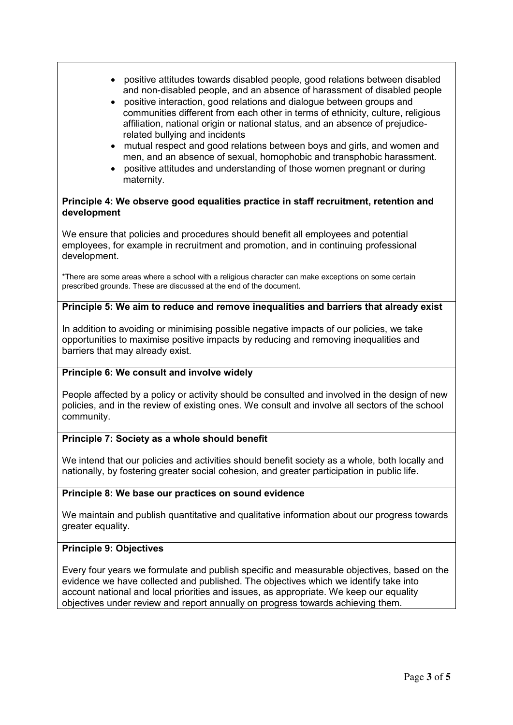- positive attitudes towards disabled people, good relations between disabled and non-disabled people, and an absence of harassment of disabled people
- positive interaction, good relations and dialogue between groups and communities different from each other in terms of ethnicity, culture, religious affiliation, national origin or national status, and an absence of prejudicerelated bullying and incidents
- mutual respect and good relations between boys and girls, and women and men, and an absence of sexual, homophobic and transphobic harassment.
- positive attitudes and understanding of those women pregnant or during maternity.

## **Principle 4: We observe good equalities practice in staff recruitment, retention and development**

We ensure that policies and procedures should benefit all employees and potential employees, for example in recruitment and promotion, and in continuing professional development.

\*There are some areas where a school with a religious character can make exceptions on some certain prescribed grounds. These are discussed at the end of the document.

# **Principle 5: We aim to reduce and remove inequalities and barriers that already exist**

In addition to avoiding or minimising possible negative impacts of our policies, we take opportunities to maximise positive impacts by reducing and removing inequalities and barriers that may already exist.

# **Principle 6: We consult and involve widely**

People affected by a policy or activity should be consulted and involved in the design of new policies, and in the review of existing ones. We consult and involve all sectors of the school community.

# **Principle 7: Society as a whole should benefit**

We intend that our policies and activities should benefit society as a whole, both locally and nationally, by fostering greater social cohesion, and greater participation in public life.

# **Principle 8: We base our practices on sound evidence**

We maintain and publish quantitative and qualitative information about our progress towards greater equality.

# **Principle 9: Objectives**

Every four years we formulate and publish specific and measurable objectives, based on the evidence we have collected and published. The objectives which we identify take into account national and local priorities and issues, as appropriate. We keep our equality objectives under review and report annually on progress towards achieving them.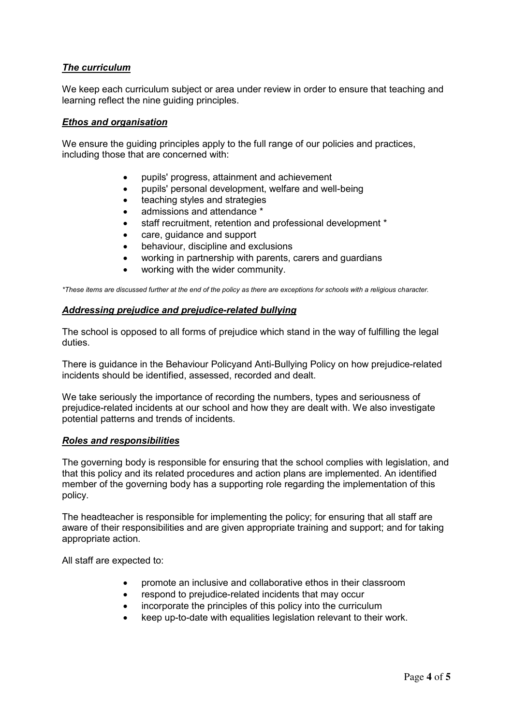# *The curriculum*

We keep each curriculum subject or area under review in order to ensure that teaching and learning reflect the nine guiding principles.

## *Ethos and organisation*

We ensure the guiding principles apply to the full range of our policies and practices, including those that are concerned with:

- pupils' progress, attainment and achievement
- pupils' personal development, welfare and well-being
- teaching styles and strategies
- admissions and attendance \*
- staff recruitment, retention and professional development \*
- care, guidance and support
- behaviour, discipline and exclusions
- working in partnership with parents, carers and guardians
- working with the wider community.

*\*These items are discussed further at the end of the policy as there are exceptions for schools with a religious character.* 

## *Addressing prejudice and prejudice-related bullying*

The school is opposed to all forms of prejudice which stand in the way of fulfilling the legal duties.

There is guidance in the Behaviour Policyand Anti-Bullying Policy on how prejudice-related incidents should be identified, assessed, recorded and dealt.

We take seriously the importance of recording the numbers, types and seriousness of prejudice-related incidents at our school and how they are dealt with. We also investigate potential patterns and trends of incidents.

## *Roles and responsibilities*

The governing body is responsible for ensuring that the school complies with legislation, and that this policy and its related procedures and action plans are implemented. An identified member of the governing body has a supporting role regarding the implementation of this policy.

The headteacher is responsible for implementing the policy; for ensuring that all staff are aware of their responsibilities and are given appropriate training and support; and for taking appropriate action.

All staff are expected to:

- promote an inclusive and collaborative ethos in their classroom
- respond to prejudice-related incidents that may occur
- incorporate the principles of this policy into the curriculum
- keep up-to-date with equalities legislation relevant to their work.